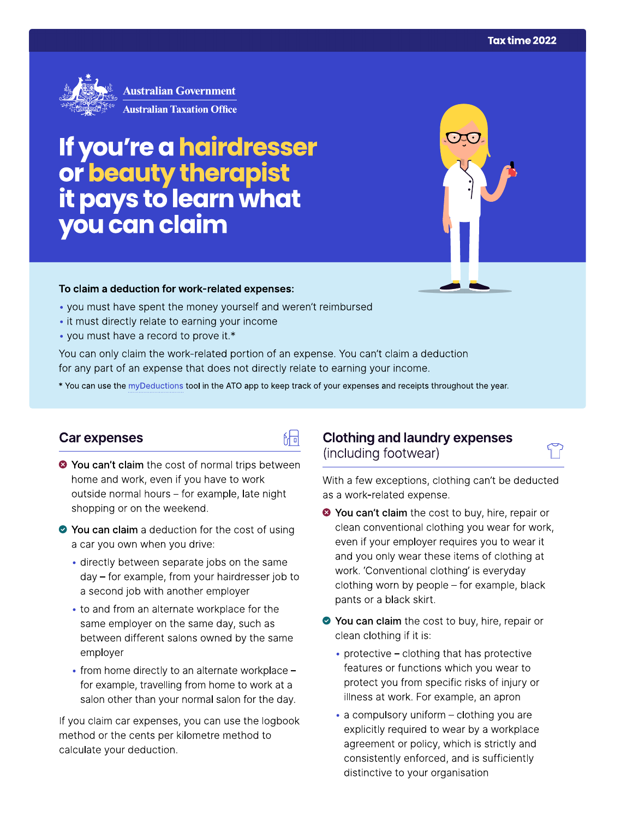

**Australian Government Australian Taxation Office** 

# If you're a hairdresser<br>or beauty therapist<br>it pays to learn what<br>you can claim

### To claim a deduction for work-related expenses:

- you must have spent the money yourself and weren't reimbursed
- it must directly relate to earning your income
- you must have a record to prove it.\*

You can only claim the work-related portion of an expense. You can't claim a deduction for any part of an expense that does not directly relate to earning your income.

\* You can use the myDeductions tool in the ATO app to keep track of your expenses and receipts throughout the year.

品

### Car expenses

- <sup>●</sup> You can't claim the cost of normal trips between home and work, even if you have to work outside normal hours - for example, late night shopping or on the weekend.
- You can claim a deduction for the cost of using a car you own when you drive:
	- · directly between separate jobs on the same day - for example, from your hairdresser job to a second job with another employer
	- to and from an alternate workplace for the same employer on the same day, such as between different salons owned by the same employer
	- from home directly to an alternate workplace for example, travelling from home to work at a salon other than your normal salon for the day.

If you claim car expenses, you can use the logbook method or the cents per kilometre method to calculate your deduction.

# **Clothing and laundry expenses** (including footwear)

With a few exceptions, clothing can't be deducted as a work-related expense.

- <sup>●</sup> You can't claim the cost to buy, hire, repair or clean conventional clothing you wear for work, even if your employer requires you to wear it and you only wear these items of clothing at work. 'Conventional clothing' is everyday clothing worn by people - for example, black pants or a black skirt.
- You can claim the cost to buy, hire, repair or clean clothing if it is:
	- protective clothing that has protective features or functions which you wear to protect you from specific risks of injury or illness at work. For example, an apron
	- a compulsory uniform clothing you are explicitly required to wear by a workplace agreement or policy, which is strictly and consistently enforced, and is sufficiently distinctive to your organisation